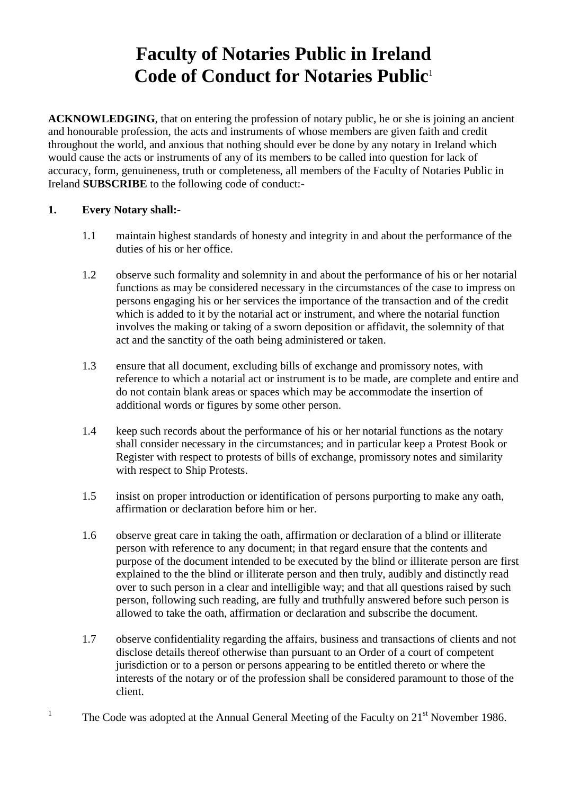## **Faculty of Notaries Public in Ireland Code of Conduct for Notaries Public**<sup>1</sup>

**ACKNOWLEDGING**, that on entering the profession of notary public, he or she is joining an ancient and honourable profession, the acts and instruments of whose members are given faith and credit throughout the world, and anxious that nothing should ever be done by any notary in Ireland which would cause the acts or instruments of any of its members to be called into question for lack of accuracy, form, genuineness, truth or completeness, all members of the Faculty of Notaries Public in Ireland **SUBSCRIBE** to the following code of conduct:-

## **1. Every Notary shall:-**

1

- 1.1 maintain highest standards of honesty and integrity in and about the performance of the duties of his or her office.
- 1.2 observe such formality and solemnity in and about the performance of his or her notarial functions as may be considered necessary in the circumstances of the case to impress on persons engaging his or her services the importance of the transaction and of the credit which is added to it by the notarial act or instrument, and where the notarial function involves the making or taking of a sworn deposition or affidavit, the solemnity of that act and the sanctity of the oath being administered or taken.
- 1.3 ensure that all document, excluding bills of exchange and promissory notes, with reference to which a notarial act or instrument is to be made, are complete and entire and do not contain blank areas or spaces which may be accommodate the insertion of additional words or figures by some other person.
- 1.4 keep such records about the performance of his or her notarial functions as the notary shall consider necessary in the circumstances; and in particular keep a Protest Book or Register with respect to protests of bills of exchange, promissory notes and similarity with respect to Ship Protests.
- 1.5 insist on proper introduction or identification of persons purporting to make any oath, affirmation or declaration before him or her.
- 1.6 observe great care in taking the oath, affirmation or declaration of a blind or illiterate person with reference to any document; in that regard ensure that the contents and purpose of the document intended to be executed by the blind or illiterate person are first explained to the the blind or illiterate person and then truly, audibly and distinctly read over to such person in a clear and intelligible way; and that all questions raised by such person, following such reading, are fully and truthfully answered before such person is allowed to take the oath, affirmation or declaration and subscribe the document.
- 1.7 observe confidentiality regarding the affairs, business and transactions of clients and not disclose details thereof otherwise than pursuant to an Order of a court of competent jurisdiction or to a person or persons appearing to be entitled thereto or where the interests of the notary or of the profession shall be considered paramount to those of the client.
- The Code was adopted at the Annual General Meeting of the Faculty on 21<sup>st</sup> November 1986.